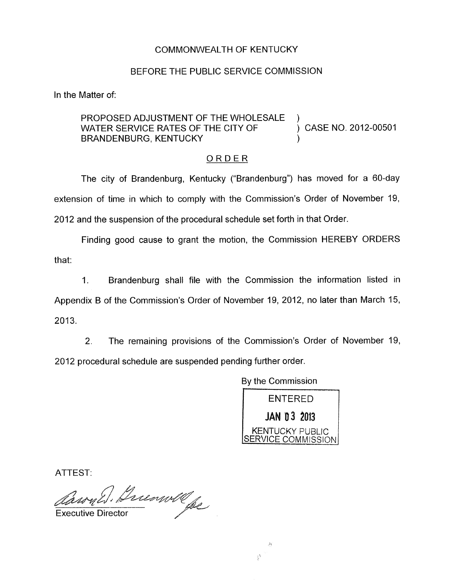## COMMONWEALTH OF KENTUCKY

## BEFORE THE PUBLIC SERVICE COMMISSION

In the Matter of:

## PROPOSED ADJUSTMENT OF THE WHOLESALE )<br>WATER SERVICE RATES OF THE CITY OF  $\qquad \qquad$ ) CASE NO. 2012-00501 BRANDENBURG, KENTUCKY

## ORDER

The city of Brandenburg, Kentucky ("Brandenburg") has moved for a 60-day extension of time in which to comply with the Commission's Order of November 19, 2012 and the suspension of the procedural schedule set forth in that Order.

Finding good cause to grant the motion, the Commission HEREBY ORDERS that:

1. Brandenburg shall file with the Commission the information listed in Appendix B of the Commission's Order of November 19, 2012, no later than March 15, 2013.

2. The remaining provisions of the Commission's Order of November 19, 2012 procedural schedule are suspended pending further order.

By the Commission

Ą.

 $\frac{1}{2} \frac{b_1}{b_2}$ 

ENTERED **JAN 03 2013**<br>KENTUCKY PUBLIC SERVICE COMMISSION

ATTEST:

Caron Education